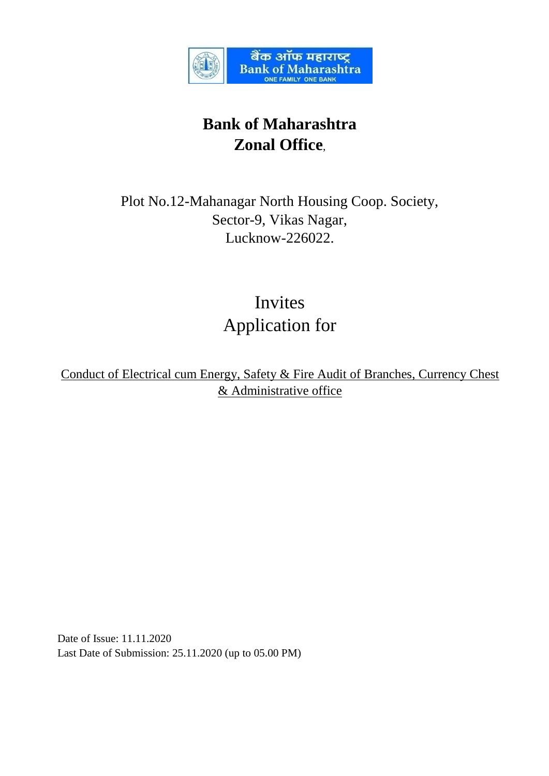

# **Bank of Maharashtra Zonal Office**,

Plot No.12-Mahanagar North Housing Coop. Society, Sector-9, Vikas Nagar, Lucknow-226022.

> Invites Application for

Conduct of Electrical cum Energy, Safety & Fire Audit of Branches, Currency Chest & Administrative office

Date of Issue: 11.11.2020 Last Date of Submission: 25.11.2020 (up to 05.00 PM)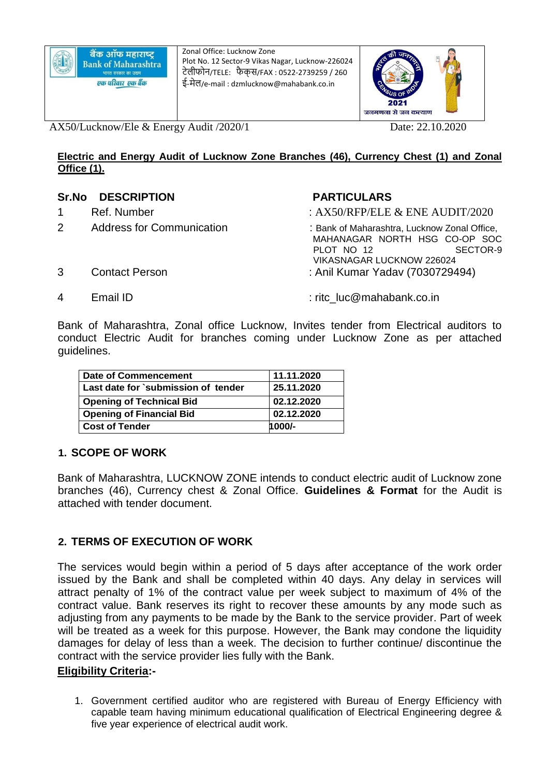Zonal Office: Lucknow Zone Plot No. 12 Sector-9 Vikas Nagar, Lucknow-226024 टेलीफोन/TELE: फै क्स/FAX : 0522-2739259 / 260 ई-मेल/e-mail : dzmlucknow@mahabank.co.in



AX50/Lucknow/Ele & Energy Audit /2020/1 Date: 22.10.2020

### **Electric and Energy Audit of Lucknow Zone Branches (46), Currency Chest (1) and Zonal Office (1).**

# **Sr.No DESCRIPTION PARTICULARS**

- 
- 

- 1 Ref. Number : AX50/RFP/ELE & ENE AUDIT/2020
- 2 Address for Communication : Bank of Maharashtra, Lucknow Zonal Office, MAHANAGAR NORTH HSG CO-OP SOC<br>PLOT NO 12 PLOT NO 12 VIKASNAGAR LUCKNOW 226024 3 Contact Person : Anil Kumar Yadav (7030729494)
- 
- 4 Email ID : ritc\_luc@mahabank.co.in

Bank of Maharashtra, Zonal office Lucknow, Invites tender from Electrical auditors to conduct Electric Audit for branches coming under Lucknow Zone as per attached guidelines.

| Date of Commencement                | 11.11.2020 |
|-------------------------------------|------------|
| Last date for `submission of tender | 25.11.2020 |
| <b>Opening of Technical Bid</b>     | 02.12.2020 |
| <b>Opening of Financial Bid</b>     | 02.12.2020 |
| <b>Cost of Tender</b>               | $1000/-$   |

# **1. SCOPE OF WORK**

Bank of Maharashtra, LUCKNOW ZONE intends to conduct electric audit of Lucknow zone branches (46), Currency chest & Zonal Office. **Guidelines & Format** for the Audit is attached with tender document.

# **2. TERMS OF EXECUTION OF WORK**

The services would begin within a period of 5 days after acceptance of the work order issued by the Bank and shall be completed within 40 days. Any delay in services will attract penalty of 1% of the contract value per week subject to maximum of 4% of the contract value. Bank reserves its right to recover these amounts by any mode such as adjusting from any payments to be made by the Bank to the service provider. Part of week will be treated as a week for this purpose. However, the Bank may condone the liquidity damages for delay of less than a week. The decision to further continue/ discontinue the contract with the service provider lies fully with the Bank.

# **Eligibility Criteria:-**

1. Government certified auditor who are registered with Bureau of Energy Efficiency with capable team having minimum educational qualification of Electrical Engineering degree & five year experience of electrical audit work.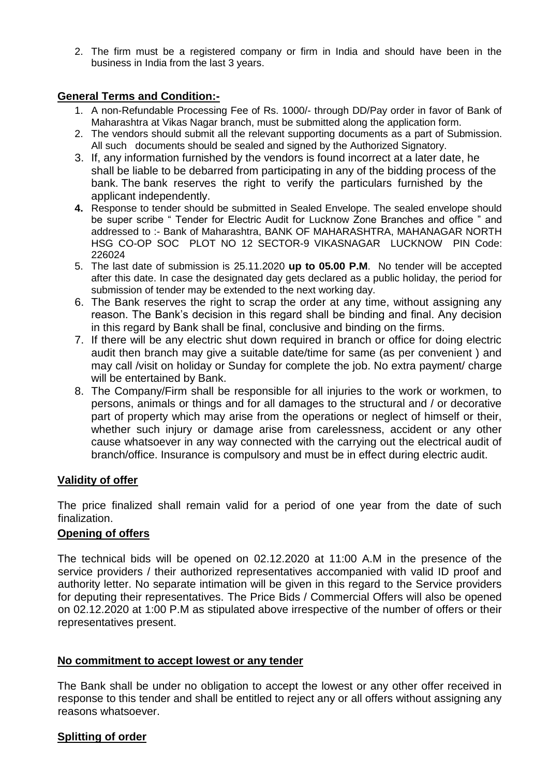2. The firm must be a registered company or firm in India and should have been in the business in India from the last 3 years.

# **General Terms and Condition:-**

- 1. A non-Refundable Processing Fee of Rs. 1000/- through DD/Pay order in favor of Bank of Maharashtra at Vikas Nagar branch, must be submitted along the application form.
- 2. The vendors should submit all the relevant supporting documents as a part of Submission. All such documents should be sealed and signed by the Authorized Signatory.
- 3. If, any information furnished by the vendors is found incorrect at a later date, he shall be liable to be debarred from participating in any of the bidding process of the bank. The bank reserves the right to verify the particulars furnished by the applicant independently.
- **4.** Response to tender should be submitted in Sealed Envelope. The sealed envelope should be super scribe " Tender for Electric Audit for Lucknow Zone Branches and office " and addressed to :- Bank of Maharashtra, BANK OF MAHARASHTRA, MAHANAGAR NORTH HSG CO-OP SOC PLOT NO 12 SECTOR-9 VIKASNAGAR LUCKNOW PIN Code: 226024
- 5. The last date of submission is 25.11.2020 **up to 05.00 P.M**. No tender will be accepted after this date. In case the designated day gets declared as a public holiday, the period for submission of tender may be extended to the next working day.
- 6. The Bank reserves the right to scrap the order at any time, without assigning any reason. The Bank's decision in this regard shall be binding and final. Any decision in this regard by Bank shall be final, conclusive and binding on the firms.
- 7. If there will be any electric shut down required in branch or office for doing electric audit then branch may give a suitable date/time for same (as per convenient ) and may call /visit on holiday or Sunday for complete the job. No extra payment/ charge will be entertained by Bank.
- 8. The Company/Firm shall be responsible for all injuries to the work or workmen, to persons, animals or things and for all damages to the structural and / or decorative part of property which may arise from the operations or neglect of himself or their, whether such injury or damage arise from carelessness, accident or any other cause whatsoever in any way connected with the carrying out the electrical audit of branch/office. Insurance is compulsory and must be in effect during electric audit.

# **Validity of offer**

The price finalized shall remain valid for a period of one year from the date of such finalization.

# **Opening of offers**

The technical bids will be opened on 02.12.2020 at 11:00 A.M in the presence of the service providers / their authorized representatives accompanied with valid ID proof and authority letter. No separate intimation will be given in this regard to the Service providers for deputing their representatives. The Price Bids / Commercial Offers will also be opened on 02.12.2020 at 1:00 P.M as stipulated above irrespective of the number of offers or their representatives present.

#### **No commitment to accept lowest or any tender**

The Bank shall be under no obligation to accept the lowest or any other offer received in response to this tender and shall be entitled to reject any or all offers without assigning any reasons whatsoever.

#### **Splitting of order**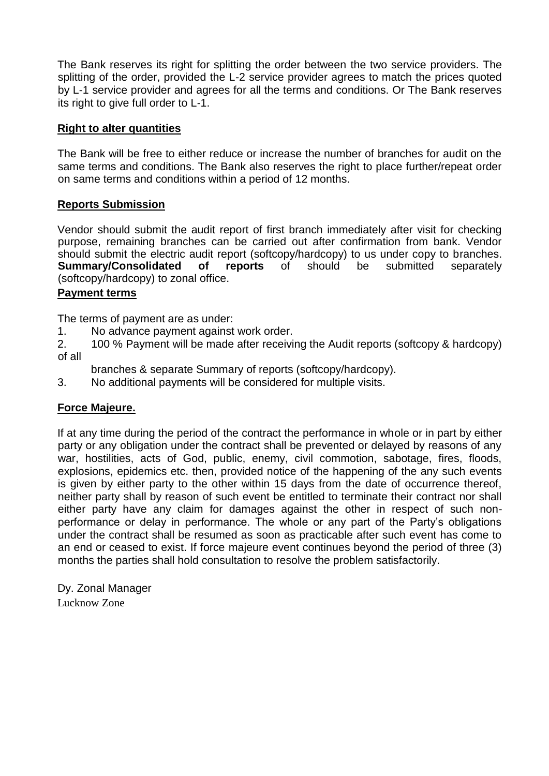The Bank reserves its right for splitting the order between the two service providers. The splitting of the order, provided the L-2 service provider agrees to match the prices quoted by L-1 service provider and agrees for all the terms and conditions. Or The Bank reserves its right to give full order to L-1.

# **Right to alter quantities**

The Bank will be free to either reduce or increase the number of branches for audit on the same terms and conditions. The Bank also reserves the right to place further/repeat order on same terms and conditions within a period of 12 months.

# **Reports Submission**

Vendor should submit the audit report of first branch immediately after visit for checking purpose, remaining branches can be carried out after confirmation from bank. Vendor should submit the electric audit report (softcopy/hardcopy) to us under copy to branches. **Summary/Consolidated of reports** of should be submitted separately (softcopy/hardcopy) to zonal office.

#### **Payment terms**

The terms of payment are as under:

1. No advance payment against work order.

2. 100 % Payment will be made after receiving the Audit reports (softcopy & hardcopy) of all

branches & separate Summary of reports (softcopy/hardcopy).

3. No additional payments will be considered for multiple visits.

# **Force Majeure.**

If at any time during the period of the contract the performance in whole or in part by either party or any obligation under the contract shall be prevented or delayed by reasons of any war, hostilities, acts of God, public, enemy, civil commotion, sabotage, fires, floods, explosions, epidemics etc. then, provided notice of the happening of the any such events is given by either party to the other within 15 days from the date of occurrence thereof, neither party shall by reason of such event be entitled to terminate their contract nor shall either party have any claim for damages against the other in respect of such nonperformance or delay in performance. The whole or any part of the Party's obligations under the contract shall be resumed as soon as practicable after such event has come to an end or ceased to exist. If force majeure event continues beyond the period of three (3) months the parties shall hold consultation to resolve the problem satisfactorily.

Dy. Zonal Manager Lucknow Zone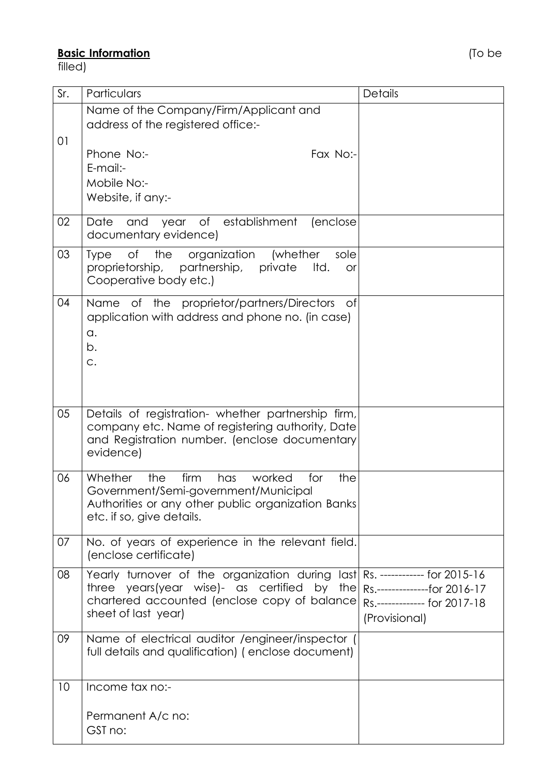# **Basic Information** (To be

filled)

| Sr. | Particulars                                                                                                                                                                                            | <b>Details</b>                                                                 |
|-----|--------------------------------------------------------------------------------------------------------------------------------------------------------------------------------------------------------|--------------------------------------------------------------------------------|
| 01  | Name of the Company/Firm/Applicant and<br>address of the registered office:-                                                                                                                           |                                                                                |
|     | Phone No:-<br>Fax No:-<br>$E$ -mail:-<br>Mobile No:-<br>Website, if any:-                                                                                                                              |                                                                                |
| 02  | Date<br>of establishment<br>and<br>year<br>(enclose)<br>documentary evidence)                                                                                                                          |                                                                                |
| 03  | of<br>the<br>organization<br>sole<br><b>Type</b><br>(whether<br>proprietorship,<br>partnership,<br>private<br>Itd.<br><b>or</b><br>Cooperative body etc.)                                              |                                                                                |
| 04  | Name of the proprietor/partners/Directors<br>0f<br>application with address and phone no. (in case)<br>a.<br>b.<br>C.                                                                                  |                                                                                |
| 05  | Details of registration- whether partnership firm,<br>company etc. Name of registering authority, Date<br>and Registration number. (enclose documentary<br>evidence)                                   |                                                                                |
| 06  | Whether<br>firm<br>has<br>the<br>worked<br>for<br>the<br>Government/Semi-government/Municipal<br>Authorities or any other public organization Banks<br>etc. if so, give details.                       |                                                                                |
| 07  | No. of years of experience in the relevant field.<br>(enclose certificate)                                                                                                                             |                                                                                |
| 08  | Yearly turnover of the organization during last Rs. ------------ for 2015-16<br>years(year wise)- as certified by the<br>three<br>chartered accounted (enclose copy of balance)<br>sheet of last year) | Rs.---------------for 2016-17<br>Rs.------------- for 2017-18<br>(Provisional) |
| 09  | Name of electrical auditor /engineer/inspector (<br>full details and qualification) (enclose document)                                                                                                 |                                                                                |
| 10  | Income tax no:-                                                                                                                                                                                        |                                                                                |
|     | Permanent A/c no:<br>GST no:                                                                                                                                                                           |                                                                                |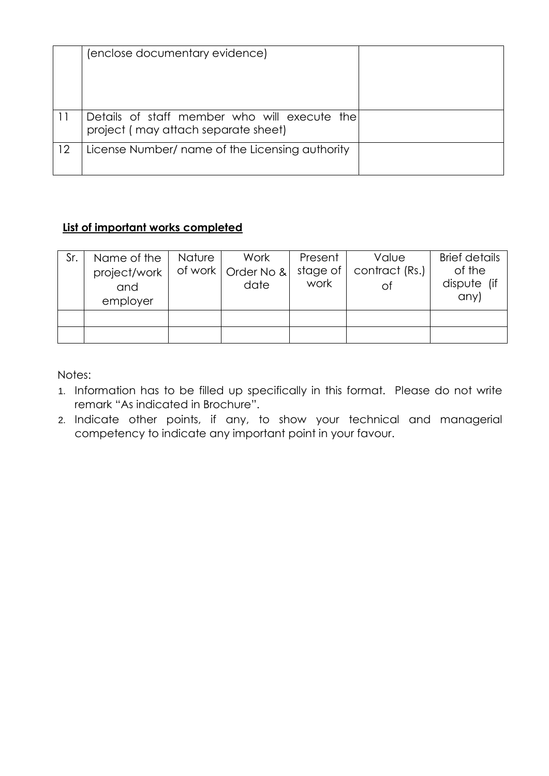|    | (enclose documentary evidence)                                                      |  |
|----|-------------------------------------------------------------------------------------|--|
| 11 | Details of staff member who will execute the<br>project (may attach separate sheet) |  |
| 12 | License Number/ name of the Licensing authority                                     |  |

# **List of important works completed**

| Sr. | Name of the<br>project/work  <br>and<br>employer | Nature | Work<br>of work   Order No &<br>date | Present<br>stage of $ $<br>work | Value<br>contract (Rs.)<br>Οİ | <b>Brief details</b><br>of the<br>dispute (if<br>any) |
|-----|--------------------------------------------------|--------|--------------------------------------|---------------------------------|-------------------------------|-------------------------------------------------------|
|     |                                                  |        |                                      |                                 |                               |                                                       |
|     |                                                  |        |                                      |                                 |                               |                                                       |

Notes:

- 1. Information has to be filled up specifically in this format. Please do not write remark "As indicated in Brochure".
- 2. Indicate other points, if any, to show your technical and managerial competency to indicate any important point in your favour.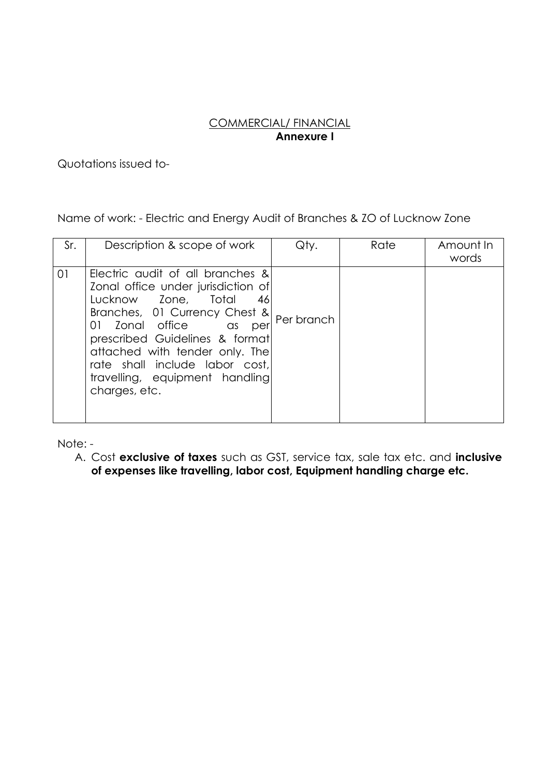# COMMERCIAL/ FINANCIAL **Annexure I**

Quotations issued to-

Name of work: - Electric and Energy Audit of Branches & ZO of Lucknow Zone

| Sr. | Description & scope of work                                                                                                                                                                                                                                                                                                | Qty.       | Rate | Amount In<br>words |
|-----|----------------------------------------------------------------------------------------------------------------------------------------------------------------------------------------------------------------------------------------------------------------------------------------------------------------------------|------------|------|--------------------|
| 01  | Electric audit of all branches &<br>Zonal office under jurisdiction of<br>Lucknow Zone, Total<br>46<br>Branches, 01 Currency Chest &<br>01 Zonal office as<br>per<br>prescribed Guidelines & format<br>attached with tender only. The<br>rate shall include labor cost,<br>travelling, equipment handling<br>charges, etc. | Per branch |      |                    |

Note: -

A. Cost **exclusive of taxes** such as GST, service tax, sale tax etc. and **inclusive of expenses like travelling, labor cost, Equipment handling charge etc.**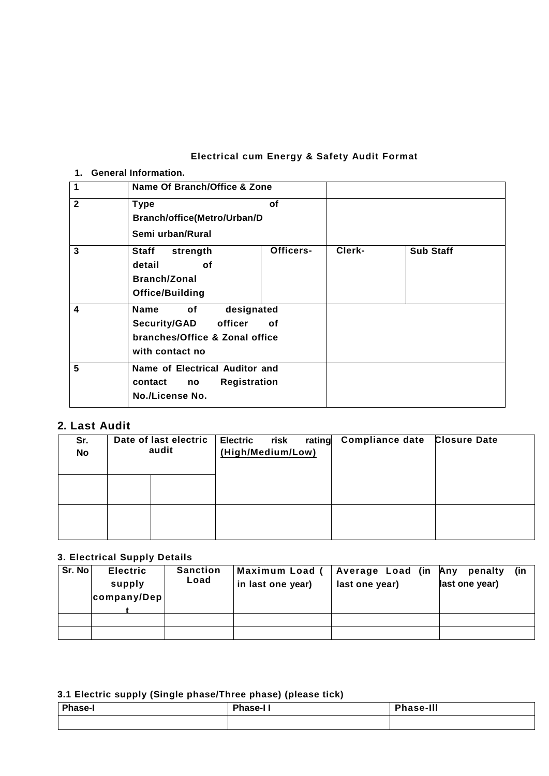# **Electrical cum Energy & Safety Audit Format**

#### **1. General Information.**

| $\mathbf{1}$ | Name Of Branch/Office & Zone                                                                                           |           |        |                  |
|--------------|------------------------------------------------------------------------------------------------------------------------|-----------|--------|------------------|
| $\mathbf{2}$ | <b>Type</b><br><b>Branch/office(Metro/Urban/D</b><br>Semi urban/Rural                                                  | οf        |        |                  |
| 3            | Staff<br>strength<br>detail<br>οf<br><b>Branch/Zonal</b><br>Office/Building                                            | Officers- | Clerk- | <b>Sub Staff</b> |
| 4            | designated<br><b>Name</b><br>of<br><b>Security/GAD</b><br>officer<br>branches/Office & Zonal office<br>with contact no | οf        |        |                  |
| 5            | Name of Electrical Auditor and<br><b>Registration</b><br>contact<br>no<br>No./License No.                              |           |        |                  |

# **2. Last Audit**

| Sr.<br>No | Date of last electric<br>audit | <b>Electric</b><br>(High/Medium/Low) | risk | rating Compliance date Closure Date |  |
|-----------|--------------------------------|--------------------------------------|------|-------------------------------------|--|
|           |                                |                                      |      |                                     |  |
|           |                                |                                      |      |                                     |  |

#### **3. Electrical Supply Details**

| Sr. No | <b>Electric</b><br>supply<br>company/Dep | <b>Sanction</b><br>Load | Maximum Load (<br>in last one year) | Average Load (in Any<br>last one year) | (in<br>penalty<br>last one year) |
|--------|------------------------------------------|-------------------------|-------------------------------------|----------------------------------------|----------------------------------|
|        |                                          |                         |                                     |                                        |                                  |
|        |                                          |                         |                                     |                                        |                                  |

# **3.1 Electric supply (Single phase/Three phase) (please tick)**

| <b>Phase-I</b> | <b>Phase-II</b> | <b>Phase-III</b> |
|----------------|-----------------|------------------|
|                |                 |                  |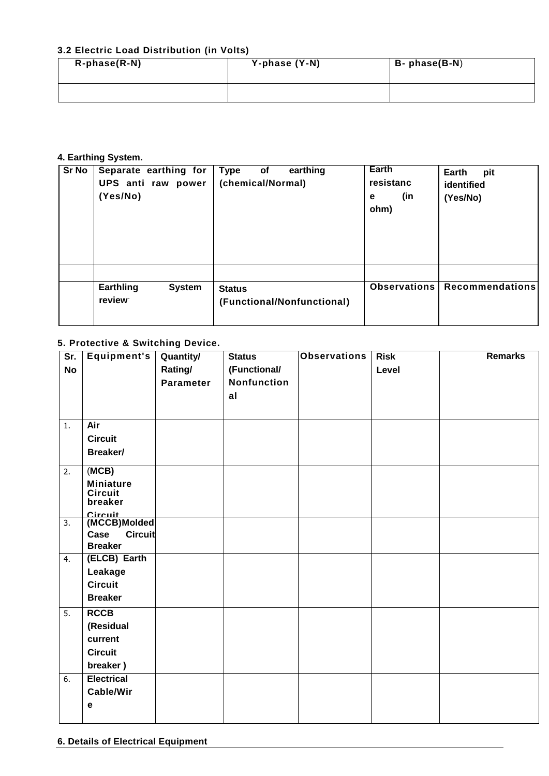#### **3.2 Electric Load Distribution (in Volts)**

| $R$ -phase $(R-N)$ | Y-phase (Y-N) | B- phase(B-N) |
|--------------------|---------------|---------------|
|                    |               |               |

#### **4. Earthing System.**

| Sr No | Separate earthing for<br>UPS anti raw power<br>(Yes/No) | Type<br>of<br>earthing<br>(chemical/Normal) | Earth<br>resistanc<br>(in<br>е<br>ohm) | Earth<br>pit<br>identified<br>(Yes/No) |
|-------|---------------------------------------------------------|---------------------------------------------|----------------------------------------|----------------------------------------|
|       | Earthling<br><b>System</b><br>review                    | <b>Status</b><br>(Functional/Nonfunctional) | Observations                           | <b>Recommendations</b>                 |

#### **5. Protective & Switching Device.**

| Sr.       | Equipment's               | <b>Quantity/</b> | <b>Status</b>      | <b>Observations</b> | <b>Risk</b> | <b>Remarks</b> |
|-----------|---------------------------|------------------|--------------------|---------------------|-------------|----------------|
| <b>No</b> |                           | Rating/          | (Functional/       |                     | Level       |                |
|           |                           | <b>Parameter</b> | <b>Nonfunction</b> |                     |             |                |
|           |                           |                  | al                 |                     |             |                |
|           |                           |                  |                    |                     |             |                |
| 1.        | Air                       |                  |                    |                     |             |                |
|           | <b>Circuit</b>            |                  |                    |                     |             |                |
|           | Breaker/                  |                  |                    |                     |             |                |
| 2.        | (MCB)                     |                  |                    |                     |             |                |
|           | <b>Miniature</b>          |                  |                    |                     |             |                |
|           | <b>Circuit</b><br>breaker |                  |                    |                     |             |                |
|           |                           |                  |                    |                     |             |                |
| 3.        | Circuit<br>(MCCB)Molded   |                  |                    |                     |             |                |
|           | <b>Circuit</b><br>Case    |                  |                    |                     |             |                |
|           | <b>Breaker</b>            |                  |                    |                     |             |                |
| 4.        | (ELCB) Earth              |                  |                    |                     |             |                |
|           | Leakage                   |                  |                    |                     |             |                |
|           | <b>Circuit</b>            |                  |                    |                     |             |                |
|           | <b>Breaker</b>            |                  |                    |                     |             |                |
| 5.        | <b>RCCB</b>               |                  |                    |                     |             |                |
|           | (Residual                 |                  |                    |                     |             |                |
|           | current                   |                  |                    |                     |             |                |
|           | <b>Circuit</b>            |                  |                    |                     |             |                |
|           | breaker)                  |                  |                    |                     |             |                |
| 6.        | <b>Electrical</b>         |                  |                    |                     |             |                |
|           | <b>Cable/Wir</b>          |                  |                    |                     |             |                |
|           | е                         |                  |                    |                     |             |                |
|           |                           |                  |                    |                     |             |                |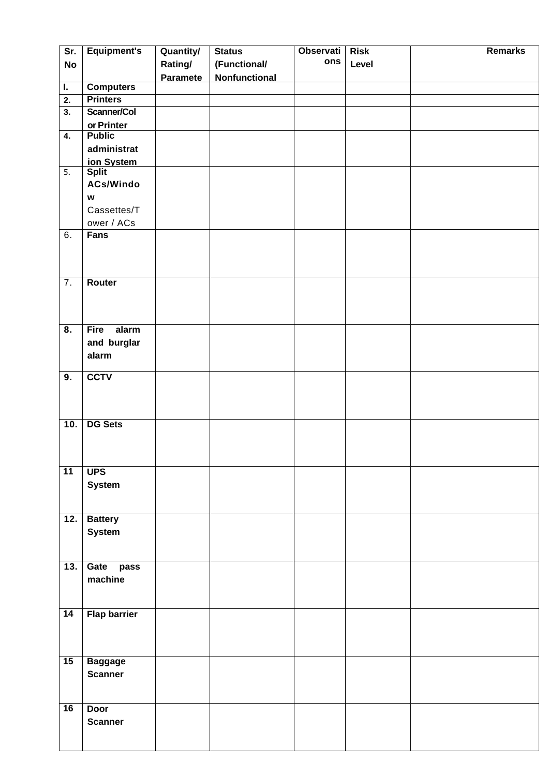| Sr.                       | <b>Equipment's</b>        | Quantity/       | <b>Status</b>        | Observati | <b>Risk</b> | <b>Remarks</b> |
|---------------------------|---------------------------|-----------------|----------------------|-----------|-------------|----------------|
| <b>No</b>                 |                           | Rating/         | (Functional/         | ons       | Level       |                |
|                           |                           | <b>Paramete</b> | <b>Nonfunctional</b> |           |             |                |
| L.                        | <b>Computers</b>          |                 |                      |           |             |                |
| 2.                        | <b>Printers</b>           |                 |                      |           |             |                |
| $\overline{\mathbf{3}}$ . | Scanner/Col               |                 |                      |           |             |                |
|                           | or Printer                |                 |                      |           |             |                |
| 4.                        | <b>Public</b>             |                 |                      |           |             |                |
|                           | administrat               |                 |                      |           |             |                |
|                           | ion System                |                 |                      |           |             |                |
| 5.                        | <b>Split</b>              |                 |                      |           |             |                |
|                           | <b>ACs/Windo</b>          |                 |                      |           |             |                |
|                           | $\boldsymbol{\mathsf{w}}$ |                 |                      |           |             |                |
|                           | Cassettes/T               |                 |                      |           |             |                |
|                           | ower / ACs                |                 |                      |           |             |                |
| 6.                        | Fans                      |                 |                      |           |             |                |
|                           |                           |                 |                      |           |             |                |
|                           |                           |                 |                      |           |             |                |
| 7.                        | Router                    |                 |                      |           |             |                |
|                           |                           |                 |                      |           |             |                |
|                           |                           |                 |                      |           |             |                |
|                           |                           |                 |                      |           |             |                |
| $\overline{\mathbf{8}}$ . | alarm<br><b>Fire</b>      |                 |                      |           |             |                |
|                           | and burglar               |                 |                      |           |             |                |
|                           | alarm                     |                 |                      |           |             |                |
|                           |                           |                 |                      |           |             |                |
| 9.                        | <b>CCTV</b>               |                 |                      |           |             |                |
|                           |                           |                 |                      |           |             |                |
|                           |                           |                 |                      |           |             |                |
|                           |                           |                 |                      |           |             |                |
| 10.                       | <b>DG Sets</b>            |                 |                      |           |             |                |
|                           |                           |                 |                      |           |             |                |
|                           |                           |                 |                      |           |             |                |
| $\overline{11}$           | <b>UPS</b>                |                 |                      |           |             |                |
|                           | <b>System</b>             |                 |                      |           |             |                |
|                           |                           |                 |                      |           |             |                |
|                           |                           |                 |                      |           |             |                |
| 12.                       | <b>Battery</b>            |                 |                      |           |             |                |
|                           | <b>System</b>             |                 |                      |           |             |                |
|                           |                           |                 |                      |           |             |                |
|                           |                           |                 |                      |           |             |                |
| 13.                       | Gate pass                 |                 |                      |           |             |                |
|                           | machine                   |                 |                      |           |             |                |
|                           |                           |                 |                      |           |             |                |
|                           |                           |                 |                      |           |             |                |
| $\overline{14}$           | <b>Flap barrier</b>       |                 |                      |           |             |                |
|                           |                           |                 |                      |           |             |                |
|                           |                           |                 |                      |           |             |                |
| 15                        | <b>Baggage</b>            |                 |                      |           |             |                |
|                           | <b>Scanner</b>            |                 |                      |           |             |                |
|                           |                           |                 |                      |           |             |                |
|                           |                           |                 |                      |           |             |                |
| 16                        | <b>Door</b>               |                 |                      |           |             |                |
|                           | <b>Scanner</b>            |                 |                      |           |             |                |
|                           |                           |                 |                      |           |             |                |
|                           |                           |                 |                      |           |             |                |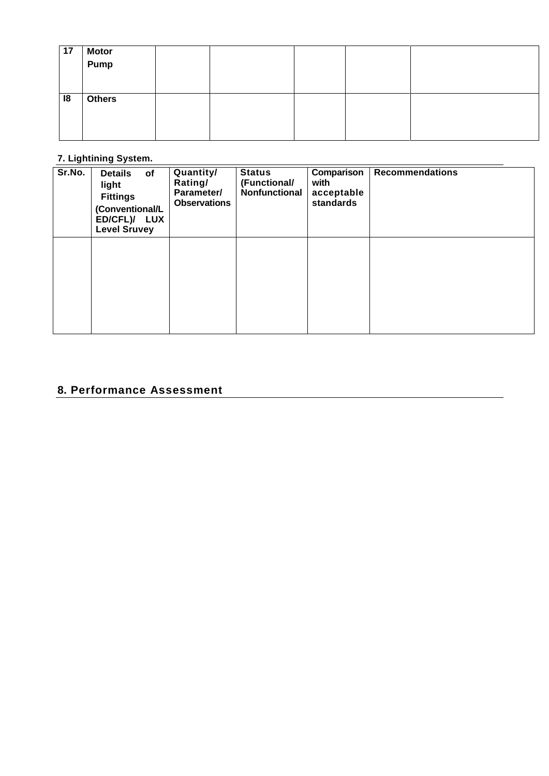| 17 | Motor<br>Pump |  |  |  |
|----|---------------|--|--|--|
| 18 | <b>Others</b> |  |  |  |

# **7. Lightining System.**

| Sr.No. | <b>Details</b><br>of<br>light<br><b>Fittings</b><br>(Conventional/L<br>ED/CFL)/ LUX<br><b>Level Sruvey</b> | Quantity/<br>Rating/<br>Parameter/<br><b>Observations</b> | <b>Status</b><br>(Functional/<br>Nonfunctional | Comparison<br>with<br>acceptable<br>standards | <b>Recommendations</b> |
|--------|------------------------------------------------------------------------------------------------------------|-----------------------------------------------------------|------------------------------------------------|-----------------------------------------------|------------------------|
|        |                                                                                                            |                                                           |                                                |                                               |                        |

# **8. Performance Assessment**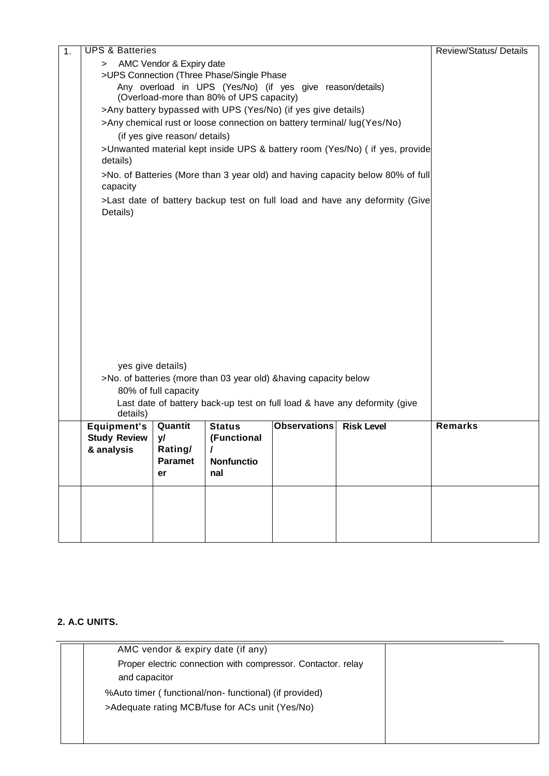| 1. | <b>UPS &amp; Batteries</b>                                                               |                                                                         |                                                                   |                     |                                                                                | Review/Status/ Details |
|----|------------------------------------------------------------------------------------------|-------------------------------------------------------------------------|-------------------------------------------------------------------|---------------------|--------------------------------------------------------------------------------|------------------------|
|    | > AMC Vendor & Expiry date                                                               |                                                                         |                                                                   |                     |                                                                                |                        |
|    | >UPS Connection (Three Phase/Single Phase                                                |                                                                         |                                                                   |                     |                                                                                |                        |
|    | Any overload in UPS (Yes/No) (if yes give reason/details)                                |                                                                         |                                                                   |                     |                                                                                |                        |
|    | (Overload-more than 80% of UPS capacity)                                                 |                                                                         |                                                                   |                     |                                                                                |                        |
|    | >Any battery bypassed with UPS (Yes/No) (if yes give details)                            |                                                                         |                                                                   |                     |                                                                                |                        |
|    |                                                                                          | >Any chemical rust or loose connection on battery terminal/ lug(Yes/No) |                                                                   |                     |                                                                                |                        |
|    | (if yes give reason/ details)                                                            |                                                                         |                                                                   |                     |                                                                                |                        |
|    | >Unwanted material kept inside UPS & battery room (Yes/No) ( if yes, provide<br>details) |                                                                         |                                                                   |                     |                                                                                |                        |
|    |                                                                                          |                                                                         |                                                                   |                     | >No. of Batteries (More than 3 year old) and having capacity below 80% of full |                        |
|    | capacity                                                                                 |                                                                         |                                                                   |                     |                                                                                |                        |
|    | Details)                                                                                 |                                                                         |                                                                   |                     | >Last date of battery backup test on full load and have any deformity (Give    |                        |
|    |                                                                                          |                                                                         |                                                                   |                     |                                                                                |                        |
|    |                                                                                          |                                                                         |                                                                   |                     |                                                                                |                        |
|    |                                                                                          |                                                                         |                                                                   |                     |                                                                                |                        |
|    |                                                                                          |                                                                         |                                                                   |                     |                                                                                |                        |
|    |                                                                                          |                                                                         |                                                                   |                     |                                                                                |                        |
|    |                                                                                          |                                                                         |                                                                   |                     |                                                                                |                        |
|    |                                                                                          |                                                                         |                                                                   |                     |                                                                                |                        |
|    |                                                                                          |                                                                         |                                                                   |                     |                                                                                |                        |
|    |                                                                                          |                                                                         |                                                                   |                     |                                                                                |                        |
|    |                                                                                          |                                                                         |                                                                   |                     |                                                                                |                        |
|    |                                                                                          |                                                                         |                                                                   |                     |                                                                                |                        |
|    |                                                                                          |                                                                         |                                                                   |                     |                                                                                |                        |
|    | yes give details)                                                                        |                                                                         |                                                                   |                     |                                                                                |                        |
|    |                                                                                          |                                                                         | >No. of batteries (more than 03 year old) & having capacity below |                     |                                                                                |                        |
|    |                                                                                          | 80% of full capacity                                                    |                                                                   |                     |                                                                                |                        |
|    | details)                                                                                 |                                                                         |                                                                   |                     | Last date of battery back-up test on full load & have any deformity (give      |                        |
|    | <b>Equipment's</b>                                                                       | Quantit                                                                 | <b>Status</b>                                                     | <b>Observations</b> | <b>Risk Level</b>                                                              | <b>Remarks</b>         |
|    | <b>Study Review</b>                                                                      | y/                                                                      | (Functional                                                       |                     |                                                                                |                        |
|    | & analysis                                                                               | Rating/                                                                 |                                                                   |                     |                                                                                |                        |
|    |                                                                                          | <b>Paramet</b>                                                          | Nonfunctio                                                        |                     |                                                                                |                        |
|    |                                                                                          | er                                                                      | nal                                                               |                     |                                                                                |                        |
|    |                                                                                          |                                                                         |                                                                   |                     |                                                                                |                        |
|    |                                                                                          |                                                                         |                                                                   |                     |                                                                                |                        |
|    |                                                                                          |                                                                         |                                                                   |                     |                                                                                |                        |
|    |                                                                                          |                                                                         |                                                                   |                     |                                                                                |                        |

#### **2. A.C UNITS.**

| AMC vendor & expiry date (if any)                                             |  |
|-------------------------------------------------------------------------------|--|
| Proper electric connection with compressor. Contactor. relay<br>and capacitor |  |
| %Auto timer (functional/non-functional) (if provided)                         |  |
| >Adequate rating MCB/fuse for ACs unit (Yes/No)                               |  |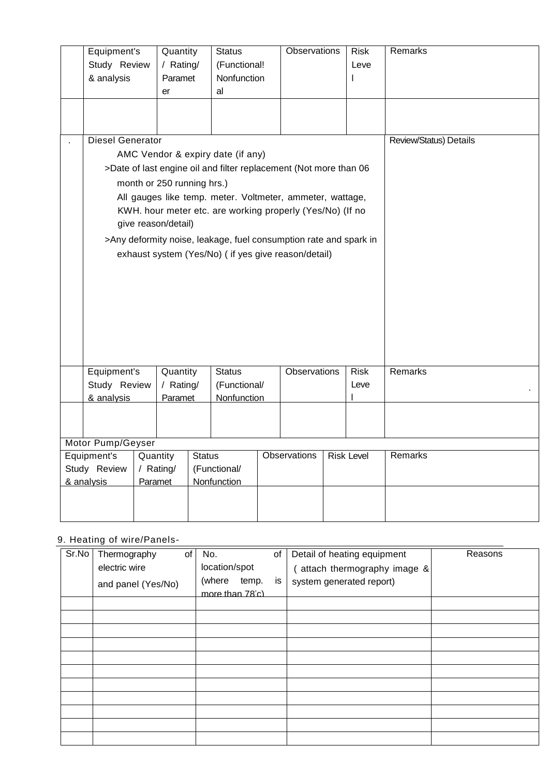| Equipment's                                                       | Quantity                   |               | <b>Status</b>                                             | <b>Observations</b> | <b>Risk</b>       | Remarks                |
|-------------------------------------------------------------------|----------------------------|---------------|-----------------------------------------------------------|---------------------|-------------------|------------------------|
| Study Review                                                      | / Rating/                  |               | (Functional!                                              |                     | Leve              |                        |
| & analysis                                                        | Paramet                    |               | Nonfunction                                               |                     | L                 |                        |
|                                                                   | er                         |               | al                                                        |                     |                   |                        |
|                                                                   |                            |               |                                                           |                     |                   |                        |
|                                                                   |                            |               |                                                           |                     |                   |                        |
| <b>Diesel Generator</b>                                           |                            |               |                                                           |                     |                   | Review/Status) Details |
|                                                                   |                            |               | AMC Vendor & expiry date (if any)                         |                     |                   |                        |
| >Date of last engine oil and filter replacement (Not more than 06 |                            |               |                                                           |                     |                   |                        |
|                                                                   | month or 250 running hrs.) |               |                                                           |                     |                   |                        |
|                                                                   |                            |               | All gauges like temp. meter. Voltmeter, ammeter, wattage, |                     |                   |                        |
|                                                                   |                            |               | KWH. hour meter etc. are working properly (Yes/No) (If no |                     |                   |                        |
|                                                                   | give reason/detail)        |               |                                                           |                     |                   |                        |
| >Any deformity noise, leakage, fuel consumption rate and spark in |                            |               |                                                           |                     |                   |                        |
|                                                                   |                            |               | exhaust system (Yes/No) ( if yes give reason/detail)      |                     |                   |                        |
|                                                                   |                            |               |                                                           |                     |                   |                        |
|                                                                   |                            |               |                                                           |                     |                   |                        |
|                                                                   |                            |               |                                                           |                     |                   |                        |
|                                                                   |                            |               |                                                           |                     |                   |                        |
|                                                                   |                            |               |                                                           |                     |                   |                        |
|                                                                   |                            |               |                                                           |                     |                   |                        |
|                                                                   |                            |               |                                                           |                     |                   |                        |
| Equipment's                                                       | Quantity                   |               | <b>Status</b>                                             | Observations        | <b>Risk</b>       | Remarks                |
| Study Review                                                      | / Rating/                  |               | (Functional/                                              |                     | Leve              |                        |
| & analysis                                                        | Paramet                    |               | Nonfunction                                               |                     |                   |                        |
|                                                                   |                            |               |                                                           |                     |                   |                        |
|                                                                   |                            |               |                                                           |                     |                   |                        |
| Motor Pump/Geyser                                                 |                            |               |                                                           |                     |                   |                        |
| Equipment's                                                       | Quantity                   | <b>Status</b> |                                                           | Observations        | <b>Risk Level</b> | Remarks                |
| Study Review                                                      | / Rating/                  |               | (Functional/                                              |                     |                   |                        |
| & analysis                                                        | Paramet                    |               | <b>Nonfunction</b>                                        |                     |                   |                        |
|                                                                   |                            |               |                                                           |                     |                   |                        |
|                                                                   |                            |               |                                                           |                     |                   |                        |
|                                                                   |                            |               |                                                           |                     |                   |                        |

# 9. Heating of wire/Panels-

| $Sr$ . No | Thermography<br>electric wire | of | No.<br>location/spot | of | Detail of heating equipment<br>attach thermography image & | Reasons |
|-----------|-------------------------------|----|----------------------|----|------------------------------------------------------------|---------|
|           | and panel (Yes/No)            |    | (where<br>temp.      | is | system generated report)                                   |         |
|           |                               |    | more than 78°c)      |    |                                                            |         |
|           |                               |    |                      |    |                                                            |         |
|           |                               |    |                      |    |                                                            |         |
|           |                               |    |                      |    |                                                            |         |
|           |                               |    |                      |    |                                                            |         |
|           |                               |    |                      |    |                                                            |         |
|           |                               |    |                      |    |                                                            |         |
|           |                               |    |                      |    |                                                            |         |
|           |                               |    |                      |    |                                                            |         |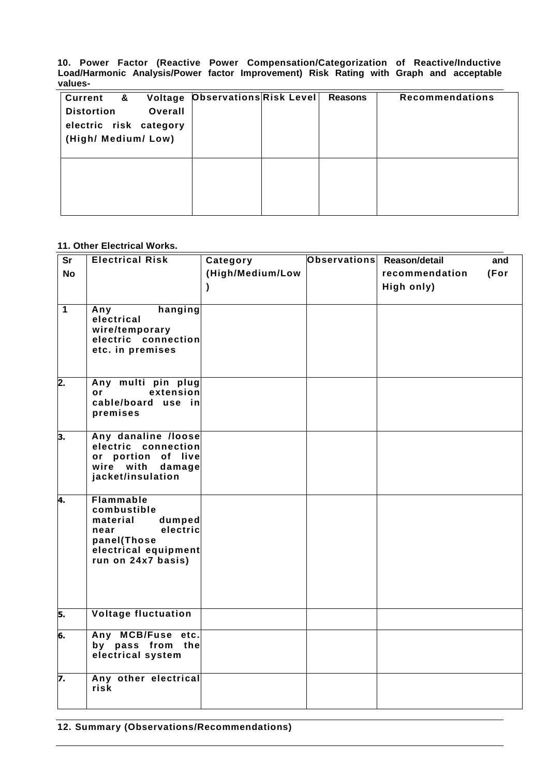**10. Power Factor (Reactive Power Compensation/Categorization of Reactive/Inductive Load/Harmonic Analysis/Power factor Improvement) Risk Rating with Graph and acceptable values-**

| Current &<br><b>Distortion</b><br>Overall<br>electric risk category<br>(High/ Medium/ Low) | Voltage Observations Risk Level | Reasons | <b>Recommendations</b> |
|--------------------------------------------------------------------------------------------|---------------------------------|---------|------------------------|
|                                                                                            |                                 |         |                        |

#### **11. Other Electrical Works.**

| <b>Sr</b>        | <b>Electrical Risk</b>                     | Category         | Observations Reason/detail |                | and  |
|------------------|--------------------------------------------|------------------|----------------------------|----------------|------|
| <b>No</b>        |                                            | (High/Medium/Low |                            | recommendation | (For |
|                  |                                            | $\mathcal Y$     |                            | High only)     |      |
|                  |                                            |                  |                            |                |      |
| $\overline{1}$   | hanging<br>Any                             |                  |                            |                |      |
|                  | electrical<br>wire/temporary               |                  |                            |                |      |
|                  | electric connection                        |                  |                            |                |      |
|                  | etc. in premises                           |                  |                            |                |      |
|                  |                                            |                  |                            |                |      |
| $\overline{2}$ . | Any multi pin plug                         |                  |                            |                |      |
|                  | extension<br><b>or</b>                     |                  |                            |                |      |
|                  | cable/board use in                         |                  |                            |                |      |
|                  | premises                                   |                  |                            |                |      |
| з.               | Any danaline /loose                        |                  |                            |                |      |
|                  | electric<br>connection                     |                  |                            |                |      |
|                  | or portion of live<br>wire with<br>damage  |                  |                            |                |      |
|                  | jacket/insulation                          |                  |                            |                |      |
|                  |                                            |                  |                            |                |      |
| 4.               | <b>Flammable</b><br>combustible            |                  |                            |                |      |
|                  | material<br>dumped                         |                  |                            |                |      |
|                  | electric<br>near                           |                  |                            |                |      |
|                  | panel(Those                                |                  |                            |                |      |
|                  | electrical equipment<br>run on 24x7 basis) |                  |                            |                |      |
|                  |                                            |                  |                            |                |      |
|                  |                                            |                  |                            |                |      |
|                  |                                            |                  |                            |                |      |
| 5.               | <b>Voltage fluctuation</b>                 |                  |                            |                |      |
| 6.               | Any MCB/Fuse etc.                          |                  |                            |                |      |
|                  | by pass from the                           |                  |                            |                |      |
|                  | electrical system                          |                  |                            |                |      |
| 7.               | Any other electrical                       |                  |                            |                |      |
|                  | risk                                       |                  |                            |                |      |
|                  |                                            |                  |                            |                |      |

**12. Summary (Observations/Recommendations)**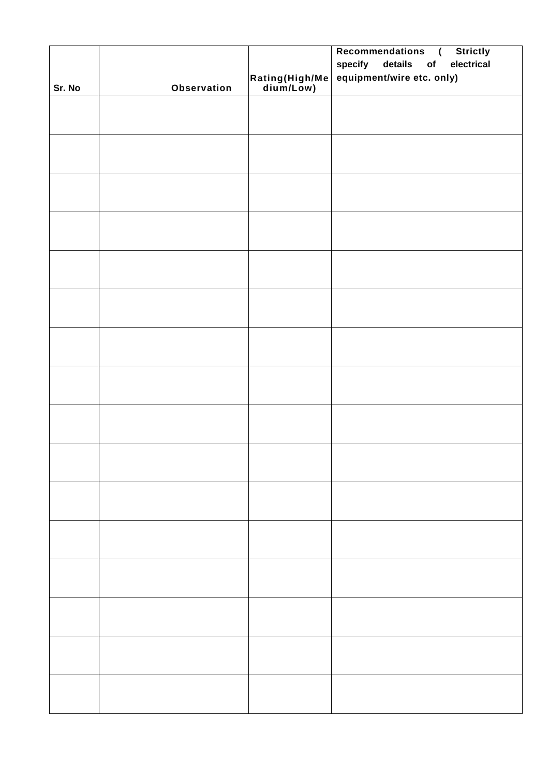|        |             |                                                                                         | Recommendations (<br><b>Strictly</b> |
|--------|-------------|-----------------------------------------------------------------------------------------|--------------------------------------|
|        |             |                                                                                         | specify details of<br>electrical     |
|        |             |                                                                                         | equipment/wire etc. only)            |
| Sr. No | Observation | $\begin{vmatrix} \mathsf{Rating}(\mathsf{High/Me} \\ \mathsf{dium/Low} ) \end{vmatrix}$ |                                      |
|        |             |                                                                                         |                                      |
|        |             |                                                                                         |                                      |
|        |             |                                                                                         |                                      |
|        |             |                                                                                         |                                      |
|        |             |                                                                                         |                                      |
|        |             |                                                                                         |                                      |
|        |             |                                                                                         |                                      |
|        |             |                                                                                         |                                      |
|        |             |                                                                                         |                                      |
|        |             |                                                                                         |                                      |
|        |             |                                                                                         |                                      |
|        |             |                                                                                         |                                      |
|        |             |                                                                                         |                                      |
|        |             |                                                                                         |                                      |
|        |             |                                                                                         |                                      |
|        |             |                                                                                         |                                      |
|        |             |                                                                                         |                                      |
|        |             |                                                                                         |                                      |
|        |             |                                                                                         |                                      |
|        |             |                                                                                         |                                      |
|        |             |                                                                                         |                                      |
|        |             |                                                                                         |                                      |
|        |             |                                                                                         |                                      |
|        |             |                                                                                         |                                      |
|        |             |                                                                                         |                                      |
|        |             |                                                                                         |                                      |
|        |             |                                                                                         |                                      |
|        |             |                                                                                         |                                      |
|        |             |                                                                                         |                                      |
|        |             |                                                                                         |                                      |
|        |             |                                                                                         |                                      |
|        |             |                                                                                         |                                      |
|        |             |                                                                                         |                                      |
|        |             |                                                                                         |                                      |
|        |             |                                                                                         |                                      |
|        |             |                                                                                         |                                      |
|        |             |                                                                                         |                                      |
|        |             |                                                                                         |                                      |
|        |             |                                                                                         |                                      |
|        |             |                                                                                         |                                      |
|        |             |                                                                                         |                                      |
|        |             |                                                                                         |                                      |
|        |             |                                                                                         |                                      |
|        |             |                                                                                         |                                      |
|        |             |                                                                                         |                                      |
|        |             |                                                                                         |                                      |
|        |             |                                                                                         |                                      |
|        |             |                                                                                         |                                      |
|        |             |                                                                                         |                                      |
|        |             |                                                                                         |                                      |
|        |             |                                                                                         |                                      |